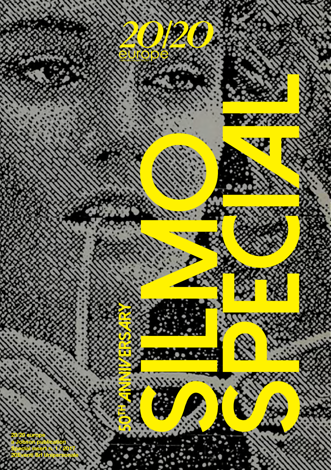